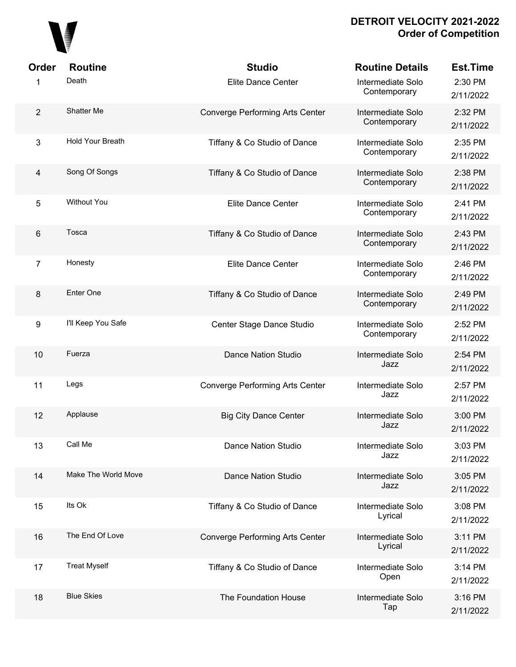

| Order          | <b>Routine</b>      | <b>Studio</b>                          | <b>Routine Details</b>            | <b>Est.Time</b>      |
|----------------|---------------------|----------------------------------------|-----------------------------------|----------------------|
| 1              | Death               | Elite Dance Center                     | Intermediate Solo<br>Contemporary | 2:30 PM<br>2/11/2022 |
| $\overline{2}$ | Shatter Me          | Converge Performing Arts Center        | Intermediate Solo<br>Contemporary | 2:32 PM<br>2/11/2022 |
| 3              | Hold Your Breath    | Tiffany & Co Studio of Dance           | Intermediate Solo<br>Contemporary | 2:35 PM<br>2/11/2022 |
| $\overline{4}$ | Song Of Songs       | Tiffany & Co Studio of Dance           | Intermediate Solo<br>Contemporary | 2:38 PM<br>2/11/2022 |
| 5              | <b>Without You</b>  | <b>Elite Dance Center</b>              | Intermediate Solo<br>Contemporary | 2:41 PM<br>2/11/2022 |
| 6              | Tosca               | Tiffany & Co Studio of Dance           | Intermediate Solo<br>Contemporary | 2:43 PM<br>2/11/2022 |
| $\overline{7}$ | Honesty             | <b>Elite Dance Center</b>              | Intermediate Solo<br>Contemporary | 2:46 PM<br>2/11/2022 |
| 8              | Enter One           | Tiffany & Co Studio of Dance           | Intermediate Solo<br>Contemporary | 2:49 PM<br>2/11/2022 |
| 9              | I'll Keep You Safe  | Center Stage Dance Studio              | Intermediate Solo<br>Contemporary | 2:52 PM<br>2/11/2022 |
| 10             | Fuerza              | <b>Dance Nation Studio</b>             | Intermediate Solo<br>Jazz         | 2:54 PM<br>2/11/2022 |
| 11             | Legs                | <b>Converge Performing Arts Center</b> | Intermediate Solo<br>Jazz         | 2:57 PM<br>2/11/2022 |
| 12             | Applause            | <b>Big City Dance Center</b>           | Intermediate Solo<br>Jazz         | 3:00 PM<br>2/11/2022 |
| 13             | Call Me             | <b>Dance Nation Studio</b>             | Intermediate Solo<br>Jazz         | 3:03 PM<br>2/11/2022 |
| 14             | Make The World Move | <b>Dance Nation Studio</b>             | Intermediate Solo<br>Jazz         | 3:05 PM<br>2/11/2022 |
| 15             | Its Ok              | Tiffany & Co Studio of Dance           | Intermediate Solo<br>Lyrical      | 3:08 PM<br>2/11/2022 |
| 16             | The End Of Love     | <b>Converge Performing Arts Center</b> | Intermediate Solo<br>Lyrical      | 3:11 PM<br>2/11/2022 |
| 17             | <b>Treat Myself</b> | Tiffany & Co Studio of Dance           | Intermediate Solo<br>Open         | 3:14 PM<br>2/11/2022 |
| 18             | <b>Blue Skies</b>   | The Foundation House                   | Intermediate Solo<br>Tap          | 3:16 PM<br>2/11/2022 |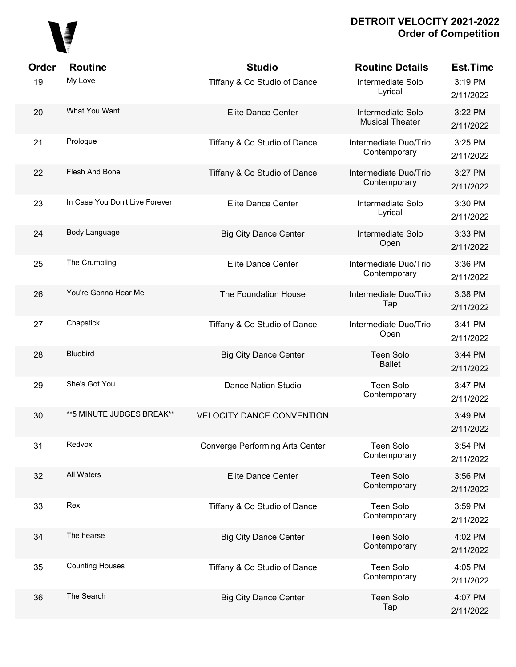

| Order | <b>Routine</b>                 | <b>Studio</b>                          | <b>Routine Details</b>                      | <b>Est.Time</b>      |
|-------|--------------------------------|----------------------------------------|---------------------------------------------|----------------------|
| 19    | My Love                        | Tiffany & Co Studio of Dance           | Intermediate Solo<br>Lyrical                | 3:19 PM<br>2/11/2022 |
| 20    | What You Want                  | Elite Dance Center                     | Intermediate Solo<br><b>Musical Theater</b> | 3:22 PM<br>2/11/2022 |
| 21    | Prologue                       | Tiffany & Co Studio of Dance           | Intermediate Duo/Trio<br>Contemporary       | 3:25 PM<br>2/11/2022 |
| 22    | Flesh And Bone                 | Tiffany & Co Studio of Dance           | Intermediate Duo/Trio<br>Contemporary       | 3:27 PM<br>2/11/2022 |
| 23    | In Case You Don't Live Forever | Elite Dance Center                     | Intermediate Solo<br>Lyrical                | 3:30 PM<br>2/11/2022 |
| 24    | Body Language                  | <b>Big City Dance Center</b>           | Intermediate Solo<br>Open                   | 3:33 PM<br>2/11/2022 |
| 25    | The Crumbling                  | Elite Dance Center                     | Intermediate Duo/Trio<br>Contemporary       | 3:36 PM<br>2/11/2022 |
| 26    | You're Gonna Hear Me           | The Foundation House                   | Intermediate Duo/Trio<br>Tap                | 3:38 PM<br>2/11/2022 |
| 27    | Chapstick                      | Tiffany & Co Studio of Dance           | Intermediate Duo/Trio<br>Open               | 3:41 PM<br>2/11/2022 |
| 28    | <b>Bluebird</b>                | <b>Big City Dance Center</b>           | <b>Teen Solo</b><br><b>Ballet</b>           | 3:44 PM<br>2/11/2022 |
| 29    | She's Got You                  | <b>Dance Nation Studio</b>             | <b>Teen Solo</b><br>Contemporary            | 3:47 PM<br>2/11/2022 |
| 30    | **5 MINUTE JUDGES BREAK**      | <b>VELOCITY DANCE CONVENTION</b>       |                                             | 3:49 PM<br>2/11/2022 |
| 31    | Redvox                         | <b>Converge Performing Arts Center</b> | <b>Teen Solo</b><br>Contemporary            | 3:54 PM<br>2/11/2022 |
| 32    | All Waters                     | Elite Dance Center                     | <b>Teen Solo</b><br>Contemporary            | 3:56 PM<br>2/11/2022 |
| 33    | Rex                            | Tiffany & Co Studio of Dance           | <b>Teen Solo</b><br>Contemporary            | 3:59 PM<br>2/11/2022 |
| 34    | The hearse                     | <b>Big City Dance Center</b>           | <b>Teen Solo</b><br>Contemporary            | 4:02 PM<br>2/11/2022 |
| 35    | <b>Counting Houses</b>         | Tiffany & Co Studio of Dance           | <b>Teen Solo</b><br>Contemporary            | 4:05 PM<br>2/11/2022 |
| 36    | The Search                     | <b>Big City Dance Center</b>           | <b>Teen Solo</b><br>Tap                     | 4:07 PM<br>2/11/2022 |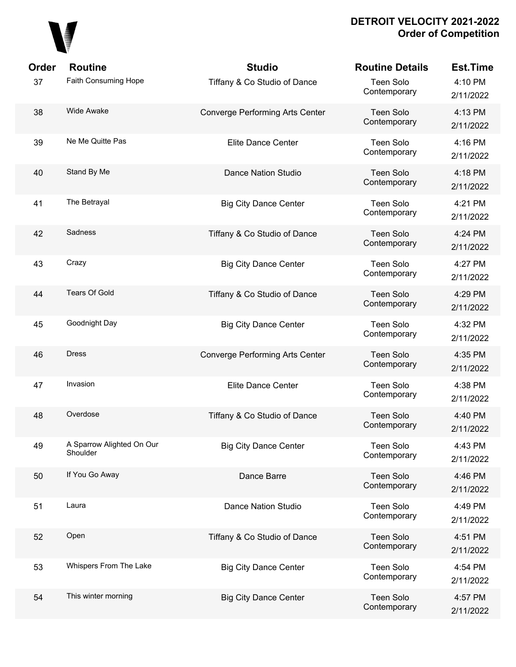

| Order | <b>Routine</b>                        | <b>Studio</b>                   | <b>Routine Details</b>           | <b>Est.Time</b>      |
|-------|---------------------------------------|---------------------------------|----------------------------------|----------------------|
| 37    | Faith Consuming Hope                  | Tiffany & Co Studio of Dance    | <b>Teen Solo</b><br>Contemporary | 4:10 PM<br>2/11/2022 |
| 38    | <b>Wide Awake</b>                     | Converge Performing Arts Center | <b>Teen Solo</b><br>Contemporary | 4:13 PM<br>2/11/2022 |
| 39    | Ne Me Quitte Pas                      | <b>Elite Dance Center</b>       | <b>Teen Solo</b><br>Contemporary | 4:16 PM<br>2/11/2022 |
| 40    | Stand By Me                           | Dance Nation Studio             | <b>Teen Solo</b><br>Contemporary | 4:18 PM<br>2/11/2022 |
| 41    | The Betrayal                          | <b>Big City Dance Center</b>    | <b>Teen Solo</b><br>Contemporary | 4:21 PM<br>2/11/2022 |
| 42    | Sadness                               | Tiffany & Co Studio of Dance    | <b>Teen Solo</b><br>Contemporary | 4:24 PM<br>2/11/2022 |
| 43    | Crazy                                 | <b>Big City Dance Center</b>    | <b>Teen Solo</b><br>Contemporary | 4:27 PM<br>2/11/2022 |
| 44    | <b>Tears Of Gold</b>                  | Tiffany & Co Studio of Dance    | <b>Teen Solo</b><br>Contemporary | 4:29 PM<br>2/11/2022 |
| 45    | Goodnight Day                         | <b>Big City Dance Center</b>    | <b>Teen Solo</b><br>Contemporary | 4:32 PM<br>2/11/2022 |
| 46    | <b>Dress</b>                          | Converge Performing Arts Center | <b>Teen Solo</b><br>Contemporary | 4:35 PM<br>2/11/2022 |
| 47    | Invasion                              | <b>Elite Dance Center</b>       | <b>Teen Solo</b><br>Contemporary | 4:38 PM<br>2/11/2022 |
| 48    | Overdose                              | Tiffany & Co Studio of Dance    | <b>Teen Solo</b><br>Contemporary | 4:40 PM<br>2/11/2022 |
| 49    | A Sparrow Alighted On Our<br>Shoulder | <b>Big City Dance Center</b>    | Teen Solo<br>Contemporary        | 4:43 PM<br>2/11/2022 |
| 50    | If You Go Away                        | Dance Barre                     | <b>Teen Solo</b><br>Contemporary | 4:46 PM<br>2/11/2022 |
| 51    | Laura                                 | Dance Nation Studio             | Teen Solo<br>Contemporary        | 4:49 PM<br>2/11/2022 |
| 52    | Open                                  | Tiffany & Co Studio of Dance    | <b>Teen Solo</b><br>Contemporary | 4:51 PM<br>2/11/2022 |
| 53    | Whispers From The Lake                | <b>Big City Dance Center</b>    | <b>Teen Solo</b><br>Contemporary | 4:54 PM<br>2/11/2022 |
| 54    | This winter morning                   | <b>Big City Dance Center</b>    | <b>Teen Solo</b><br>Contemporary | 4:57 PM<br>2/11/2022 |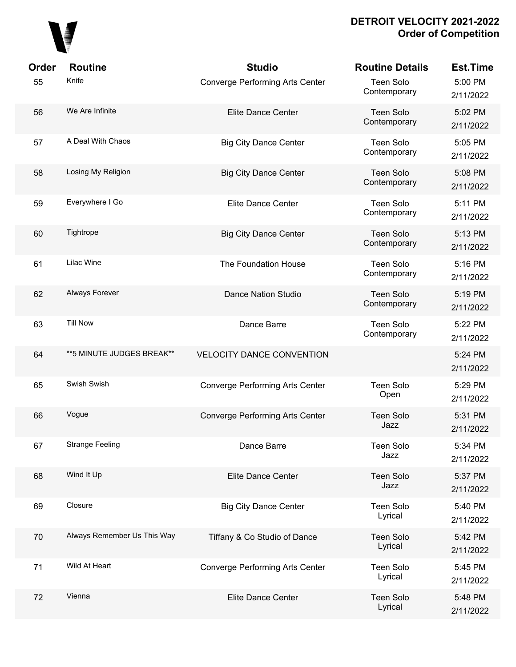

| Order | <b>Routine</b>              | <b>Studio</b>                          | <b>Routine Details</b>      | <b>Est.Time</b>      |
|-------|-----------------------------|----------------------------------------|-----------------------------|----------------------|
| 55    | Knife                       | Converge Performing Arts Center        | Teen Solo<br>Contemporary   | 5:00 PM<br>2/11/2022 |
| 56    | We Are Infinite             | Elite Dance Center                     | Teen Solo<br>Contemporary   | 5:02 PM<br>2/11/2022 |
| 57    | A Deal With Chaos           | <b>Big City Dance Center</b>           | Teen Solo<br>Contemporary   | 5:05 PM<br>2/11/2022 |
| 58    | Losing My Religion          | <b>Big City Dance Center</b>           | Teen Solo<br>Contemporary   | 5:08 PM<br>2/11/2022 |
| 59    | Everywhere I Go             | <b>Elite Dance Center</b>              | Teen Solo<br>Contemporary   | 5:11 PM<br>2/11/2022 |
| 60    | Tightrope                   | <b>Big City Dance Center</b>           | Teen Solo<br>Contemporary   | 5:13 PM<br>2/11/2022 |
| 61    | Lilac Wine                  | The Foundation House                   | Teen Solo<br>Contemporary   | 5:16 PM<br>2/11/2022 |
| 62    | Always Forever              | <b>Dance Nation Studio</b>             | Teen Solo<br>Contemporary   | 5:19 PM<br>2/11/2022 |
| 63    | <b>Till Now</b>             | Dance Barre                            | Teen Solo<br>Contemporary   | 5:22 PM<br>2/11/2022 |
| 64    | ** 5 MINUTE JUDGES BREAK**  | <b>VELOCITY DANCE CONVENTION</b>       |                             | 5:24 PM<br>2/11/2022 |
| 65    | Swish Swish                 | Converge Performing Arts Center        | Teen Solo<br>Open           | 5:29 PM<br>2/11/2022 |
| 66    | Vogue                       | <b>Converge Performing Arts Center</b> | <b>Teen Solo</b><br>Jazz    | 5:31 PM<br>2/11/2022 |
| 67    | <b>Strange Feeling</b>      | Dance Barre                            | <b>Teen Solo</b><br>Jazz    | 5:34 PM<br>2/11/2022 |
| 68    | Wind It Up                  | Elite Dance Center                     | Teen Solo<br>Jazz           | 5:37 PM<br>2/11/2022 |
| 69    | Closure                     | <b>Big City Dance Center</b>           | Teen Solo<br>Lyrical        | 5:40 PM<br>2/11/2022 |
| 70    | Always Remember Us This Way | Tiffany & Co Studio of Dance           | <b>Teen Solo</b><br>Lyrical | 5:42 PM<br>2/11/2022 |
| 71    | Wild At Heart               | Converge Performing Arts Center        | Teen Solo<br>Lyrical        | 5:45 PM<br>2/11/2022 |
| 72    | Vienna                      | <b>Elite Dance Center</b>              | Teen Solo<br>Lyrical        | 5:48 PM<br>2/11/2022 |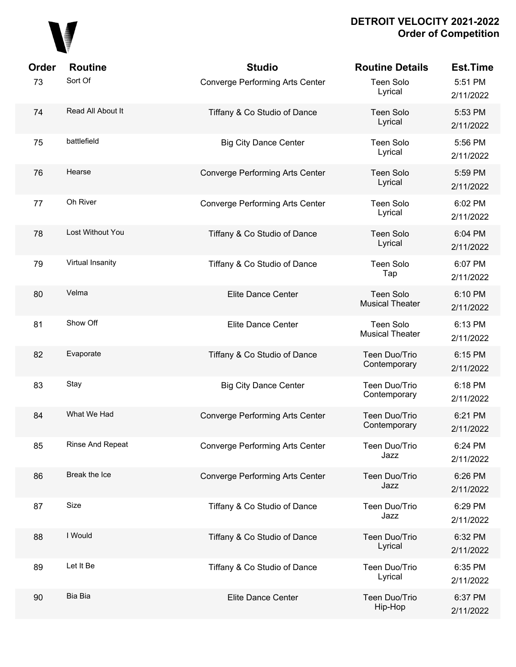

| Order | <b>Routine</b>    | <b>Studio</b>                          | <b>Routine Details</b>                     | <b>Est.Time</b>      |
|-------|-------------------|----------------------------------------|--------------------------------------------|----------------------|
| 73    | Sort Of           | <b>Converge Performing Arts Center</b> | <b>Teen Solo</b><br>Lyrical                | 5:51 PM<br>2/11/2022 |
| 74    | Read All About It | Tiffany & Co Studio of Dance           | <b>Teen Solo</b><br>Lyrical                | 5:53 PM<br>2/11/2022 |
| 75    | battlefield       | <b>Big City Dance Center</b>           | <b>Teen Solo</b><br>Lyrical                | 5:56 PM<br>2/11/2022 |
| 76    | Hearse            | Converge Performing Arts Center        | <b>Teen Solo</b><br>Lyrical                | 5:59 PM<br>2/11/2022 |
| 77    | Oh River          | <b>Converge Performing Arts Center</b> | <b>Teen Solo</b><br>Lyrical                | 6:02 PM<br>2/11/2022 |
| 78    | Lost Without You  | Tiffany & Co Studio of Dance           | <b>Teen Solo</b><br>Lyrical                | 6:04 PM<br>2/11/2022 |
| 79    | Virtual Insanity  | Tiffany & Co Studio of Dance           | <b>Teen Solo</b><br>Tap                    | 6:07 PM<br>2/11/2022 |
| 80    | Velma             | Elite Dance Center                     | <b>Teen Solo</b><br><b>Musical Theater</b> | 6:10 PM<br>2/11/2022 |
| 81    | Show Off          | <b>Elite Dance Center</b>              | <b>Teen Solo</b><br><b>Musical Theater</b> | 6:13 PM<br>2/11/2022 |
| 82    | Evaporate         | Tiffany & Co Studio of Dance           | Teen Duo/Trio<br>Contemporary              | 6:15 PM<br>2/11/2022 |
| 83    | Stay              | <b>Big City Dance Center</b>           | Teen Duo/Trio<br>Contemporary              | 6:18 PM<br>2/11/2022 |
| 84    | What We Had       | <b>Converge Performing Arts Center</b> | Teen Duo/Trio<br>Contemporary              | 6:21 PM<br>2/11/2022 |
| 85    | Rinse And Repeat  | <b>Converge Performing Arts Center</b> | Teen Duo/Trio<br>Jazz                      | 6:24 PM<br>2/11/2022 |
| 86    | Break the Ice     | <b>Converge Performing Arts Center</b> | Teen Duo/Trio<br>Jazz                      | 6:26 PM<br>2/11/2022 |
| 87    | Size              | Tiffany & Co Studio of Dance           | Teen Duo/Trio<br>Jazz                      | 6:29 PM<br>2/11/2022 |
| 88    | I Would           | Tiffany & Co Studio of Dance           | Teen Duo/Trio<br>Lyrical                   | 6:32 PM<br>2/11/2022 |
| 89    | Let It Be         | Tiffany & Co Studio of Dance           | Teen Duo/Trio<br>Lyrical                   | 6:35 PM<br>2/11/2022 |
| 90    | Bia Bia           | Elite Dance Center                     | Teen Duo/Trio<br>Hip-Hop                   | 6:37 PM<br>2/11/2022 |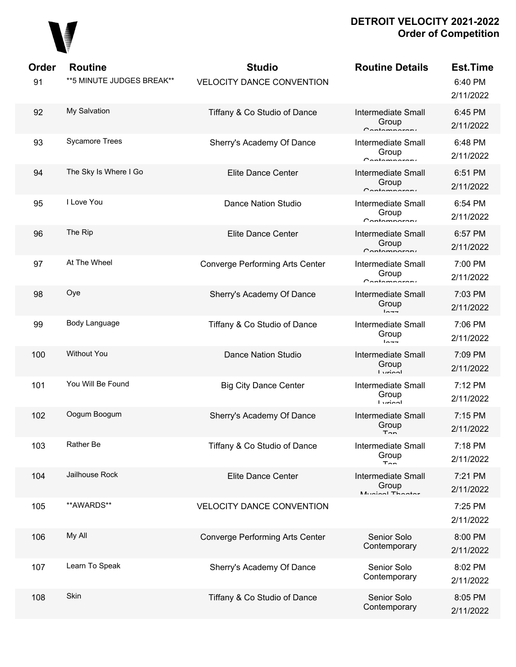

| Order<br>91 | <b>Routine</b><br>** 5 MINUTE JUDGES BREAK** | <b>Studio</b><br><b>VELOCITY DANCE CONVENTION</b> | <b>Routine Details</b>                             | <b>Est.Time</b><br>6:40 PM<br>2/11/2022 |
|-------------|----------------------------------------------|---------------------------------------------------|----------------------------------------------------|-----------------------------------------|
| 92          | My Salvation                                 | Tiffany & Co Studio of Dance                      | <b>Intermediate Small</b><br>Group<br>Contamparary | 6:45 PM<br>2/11/2022                    |
| 93          | <b>Sycamore Trees</b>                        | Sherry's Academy Of Dance                         | <b>Intermediate Small</b><br>Group<br>Contamparari | 6:48 PM<br>2/11/2022                    |
| 94          | The Sky Is Where I Go                        | <b>Elite Dance Center</b>                         | <b>Intermediate Small</b><br>Group<br>Contamparary | 6:51 PM<br>2/11/2022                    |
| 95          | I Love You                                   | <b>Dance Nation Studio</b>                        | <b>Intermediate Small</b><br>Group<br>Contamparari | 6:54 PM<br>2/11/2022                    |
| 96          | The Rip                                      | Elite Dance Center                                | <b>Intermediate Small</b><br>Group<br>Contamparary | 6:57 PM<br>2/11/2022                    |
| 97          | At The Wheel                                 | <b>Converge Performing Arts Center</b>            | <b>Intermediate Small</b><br>Group<br>Contamparary | 7:00 PM<br>2/11/2022                    |
| 98          | Oye                                          | Sherry's Academy Of Dance                         | <b>Intermediate Small</b><br>Group<br>$ln -$       | 7:03 PM<br>2/11/2022                    |
| 99          | Body Language                                | Tiffany & Co Studio of Dance                      | <b>Intermediate Small</b><br>Group<br>$ln - -$     | 7:06 PM<br>2/11/2022                    |
| 100         | <b>Without You</b>                           | <b>Dance Nation Studio</b>                        | <b>Intermediate Small</b><br>Group<br>أممنيتنا     | 7:09 PM<br>2/11/2022                    |
| 101         | You Will Be Found                            | <b>Big City Dance Center</b>                      | <b>Intermediate Small</b><br>Group<br>أممنيتنا     | 7:12 PM<br>2/11/2022                    |
| 102         | Oogum Boogum                                 | Sherry's Academy Of Dance                         | <b>Intermediate Small</b><br>Group<br>$T \cap n$   | 7:15 PM<br>2/11/2022                    |
| 103         | Rather Be                                    | Tiffany & Co Studio of Dance                      | Intermediate Small<br>Group<br>$T_{\rm{on}}$       | 7:18 PM<br>2/11/2022                    |
| 104         | Jailhouse Rock                               | <b>Elite Dance Center</b>                         | Intermediate Small<br>Group<br>Munical Thootor     | 7:21 PM<br>2/11/2022                    |
| 105         | **AWARDS**                                   | <b>VELOCITY DANCE CONVENTION</b>                  |                                                    | 7:25 PM<br>2/11/2022                    |
| 106         | My All                                       | <b>Converge Performing Arts Center</b>            | Senior Solo<br>Contemporary                        | 8:00 PM<br>2/11/2022                    |
| 107         | Learn To Speak                               | Sherry's Academy Of Dance                         | Senior Solo<br>Contemporary                        | 8:02 PM<br>2/11/2022                    |
| 108         | Skin                                         | Tiffany & Co Studio of Dance                      | Senior Solo<br>Contemporary                        | 8:05 PM<br>2/11/2022                    |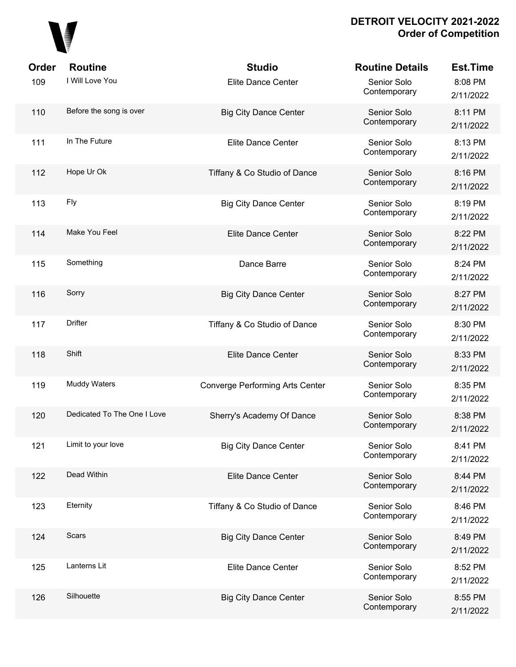

| <b>Order</b> | <b>Routine</b>              | <b>Studio</b>                          | <b>Routine Details</b>      | <b>Est.Time</b>      |
|--------------|-----------------------------|----------------------------------------|-----------------------------|----------------------|
| 109          | I Will Love You             | <b>Elite Dance Center</b>              | Senior Solo<br>Contemporary | 8:08 PM<br>2/11/2022 |
| 110          | Before the song is over     | <b>Big City Dance Center</b>           | Senior Solo<br>Contemporary | 8:11 PM<br>2/11/2022 |
| 111          | In The Future               | Elite Dance Center                     | Senior Solo<br>Contemporary | 8:13 PM<br>2/11/2022 |
| 112          | Hope Ur Ok                  | Tiffany & Co Studio of Dance           | Senior Solo<br>Contemporary | 8:16 PM<br>2/11/2022 |
| 113          | Fly                         | <b>Big City Dance Center</b>           | Senior Solo<br>Contemporary | 8:19 PM<br>2/11/2022 |
| 114          | Make You Feel               | <b>Elite Dance Center</b>              | Senior Solo<br>Contemporary | 8:22 PM<br>2/11/2022 |
| 115          | Something                   | Dance Barre                            | Senior Solo<br>Contemporary | 8:24 PM<br>2/11/2022 |
| 116          | Sorry                       | <b>Big City Dance Center</b>           | Senior Solo<br>Contemporary | 8:27 PM<br>2/11/2022 |
| 117          | Drifter                     | Tiffany & Co Studio of Dance           | Senior Solo<br>Contemporary | 8:30 PM<br>2/11/2022 |
| 118          | Shift                       | <b>Elite Dance Center</b>              | Senior Solo<br>Contemporary | 8:33 PM<br>2/11/2022 |
| 119          | <b>Muddy Waters</b>         | <b>Converge Performing Arts Center</b> | Senior Solo<br>Contemporary | 8:35 PM<br>2/11/2022 |
| 120          | Dedicated To The One I Love | Sherry's Academy Of Dance              | Senior Solo<br>Contemporary | 8:38 PM<br>2/11/2022 |
| 121          | Limit to your love          | <b>Big City Dance Center</b>           | Senior Solo<br>Contemporary | 8:41 PM<br>2/11/2022 |
| 122          | Dead Within                 | Elite Dance Center                     | Senior Solo<br>Contemporary | 8:44 PM<br>2/11/2022 |
| 123          | Eternity                    | Tiffany & Co Studio of Dance           | Senior Solo<br>Contemporary | 8:46 PM<br>2/11/2022 |
| 124          | Scars                       | <b>Big City Dance Center</b>           | Senior Solo<br>Contemporary | 8:49 PM<br>2/11/2022 |
| 125          | Lanterns Lit                | Elite Dance Center                     | Senior Solo<br>Contemporary | 8:52 PM<br>2/11/2022 |
| 126          | Silhouette                  | <b>Big City Dance Center</b>           | Senior Solo<br>Contemporary | 8:55 PM<br>2/11/2022 |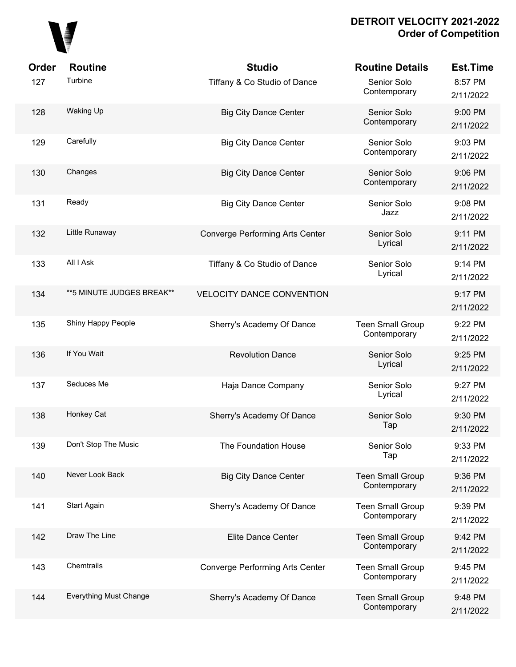# 

| Order | <b>Routine</b>                | <b>Studio</b>                          | <b>Routine Details</b>                  | <b>Est.Time</b>      |
|-------|-------------------------------|----------------------------------------|-----------------------------------------|----------------------|
| 127   | Turbine                       | Tiffany & Co Studio of Dance           | Senior Solo<br>Contemporary             | 8:57 PM<br>2/11/2022 |
| 128   | <b>Waking Up</b>              | <b>Big City Dance Center</b>           | Senior Solo<br>Contemporary             | 9:00 PM<br>2/11/2022 |
| 129   | Carefully                     | <b>Big City Dance Center</b>           | Senior Solo<br>Contemporary             | 9:03 PM<br>2/11/2022 |
| 130   | Changes                       | <b>Big City Dance Center</b>           | Senior Solo<br>Contemporary             | 9:06 PM<br>2/11/2022 |
| 131   | Ready                         | <b>Big City Dance Center</b>           | Senior Solo<br>Jazz                     | 9:08 PM<br>2/11/2022 |
| 132   | Little Runaway                | <b>Converge Performing Arts Center</b> | Senior Solo<br>Lyrical                  | 9:11 PM<br>2/11/2022 |
| 133   | All I Ask                     | Tiffany & Co Studio of Dance           | Senior Solo<br>Lyrical                  | 9:14 PM<br>2/11/2022 |
| 134   | ** 5 MINUTE JUDGES BREAK**    | VELOCITY DANCE CONVENTION              |                                         | 9:17 PM<br>2/11/2022 |
| 135   | Shiny Happy People            | Sherry's Academy Of Dance              | <b>Teen Small Group</b><br>Contemporary | 9:22 PM<br>2/11/2022 |
| 136   | If You Wait                   | <b>Revolution Dance</b>                | Senior Solo<br>Lyrical                  | 9:25 PM<br>2/11/2022 |
| 137   | Seduces Me                    | Haja Dance Company                     | Senior Solo<br>Lyrical                  | 9:27 PM<br>2/11/2022 |
| 138   | Honkey Cat                    | Sherry's Academy Of Dance              | Senior Solo<br>Tap                      | 9:30 PM<br>2/11/2022 |
| 139   | Don't Stop The Music          | The Foundation House                   | Senior Solo<br>Tap                      | 9:33 PM<br>2/11/2022 |
| 140   | Never Look Back               | <b>Big City Dance Center</b>           | <b>Teen Small Group</b><br>Contemporary | 9:36 PM<br>2/11/2022 |
| 141   | Start Again                   | Sherry's Academy Of Dance              | <b>Teen Small Group</b><br>Contemporary | 9:39 PM<br>2/11/2022 |
| 142   | Draw The Line                 | <b>Elite Dance Center</b>              | <b>Teen Small Group</b><br>Contemporary | 9:42 PM<br>2/11/2022 |
| 143   | Chemtrails                    | Converge Performing Arts Center        | <b>Teen Small Group</b><br>Contemporary | 9:45 PM<br>2/11/2022 |
| 144   | <b>Everything Must Change</b> | Sherry's Academy Of Dance              | <b>Teen Small Group</b><br>Contemporary | 9:48 PM<br>2/11/2022 |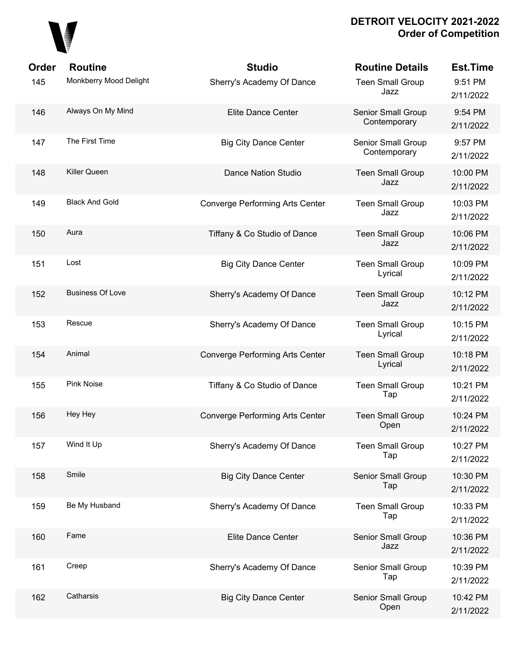

| Order | <b>Routine</b>          | <b>Studio</b>                   | <b>Routine Details</b>             | <b>Est.Time</b>       |
|-------|-------------------------|---------------------------------|------------------------------------|-----------------------|
| 145   | Monkberry Mood Delight  | Sherry's Academy Of Dance       | <b>Teen Small Group</b><br>Jazz    | 9:51 PM<br>2/11/2022  |
| 146   | Always On My Mind       | Elite Dance Center              | Senior Small Group<br>Contemporary | 9:54 PM<br>2/11/2022  |
| 147   | The First Time          | <b>Big City Dance Center</b>    | Senior Small Group<br>Contemporary | 9:57 PM<br>2/11/2022  |
| 148   | Killer Queen            | <b>Dance Nation Studio</b>      | <b>Teen Small Group</b><br>Jazz    | 10:00 PM<br>2/11/2022 |
| 149   | <b>Black And Gold</b>   | Converge Performing Arts Center | <b>Teen Small Group</b><br>Jazz    | 10:03 PM<br>2/11/2022 |
| 150   | Aura                    | Tiffany & Co Studio of Dance    | <b>Teen Small Group</b><br>Jazz    | 10:06 PM<br>2/11/2022 |
| 151   | Lost                    | <b>Big City Dance Center</b>    | <b>Teen Small Group</b><br>Lyrical | 10:09 PM<br>2/11/2022 |
| 152   | <b>Business Of Love</b> | Sherry's Academy Of Dance       | <b>Teen Small Group</b><br>Jazz    | 10:12 PM<br>2/11/2022 |
| 153   | Rescue                  | Sherry's Academy Of Dance       | <b>Teen Small Group</b><br>Lyrical | 10:15 PM<br>2/11/2022 |
| 154   | Animal                  | Converge Performing Arts Center | <b>Teen Small Group</b><br>Lyrical | 10:18 PM<br>2/11/2022 |
| 155   | <b>Pink Noise</b>       | Tiffany & Co Studio of Dance    | <b>Teen Small Group</b><br>Tap     | 10:21 PM<br>2/11/2022 |
| 156   | Hey Hey                 | Converge Performing Arts Center | <b>Teen Small Group</b><br>Open    | 10:24 PM<br>2/11/2022 |
| 157   | Wind It Up              | Sherry's Academy Of Dance       | <b>Teen Small Group</b><br>Tap     | 10:27 PM<br>2/11/2022 |
| 158   | Smile                   | <b>Big City Dance Center</b>    | Senior Small Group<br>Tap          | 10:30 PM<br>2/11/2022 |
| 159   | Be My Husband           | Sherry's Academy Of Dance       | <b>Teen Small Group</b><br>Tap     | 10:33 PM<br>2/11/2022 |
| 160   | Fame                    | <b>Elite Dance Center</b>       | Senior Small Group<br>Jazz         | 10:36 PM<br>2/11/2022 |
| 161   | Creep                   | Sherry's Academy Of Dance       | Senior Small Group<br>Tap          | 10:39 PM<br>2/11/2022 |
| 162   | Catharsis               | <b>Big City Dance Center</b>    | Senior Small Group<br>Open         | 10:42 PM<br>2/11/2022 |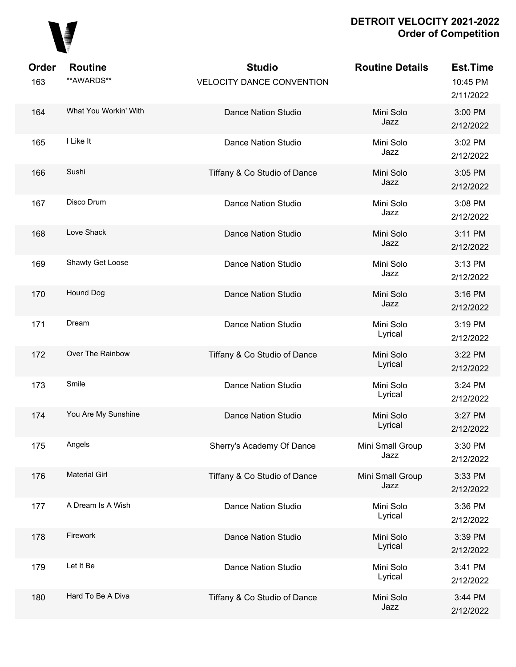

| Order<br>163 | <b>Routine</b><br>**AWARDS** | <b>Studio</b><br><b>VELOCITY DANCE CONVENTION</b> | <b>Routine Details</b>   | <b>Est.Time</b><br>10:45 PM<br>2/11/2022 |
|--------------|------------------------------|---------------------------------------------------|--------------------------|------------------------------------------|
| 164          | What You Workin' With        | <b>Dance Nation Studio</b>                        | Mini Solo<br>Jazz        | 3:00 PM<br>2/12/2022                     |
| 165          | I Like It                    | <b>Dance Nation Studio</b>                        | Mini Solo<br>Jazz        | 3:02 PM<br>2/12/2022                     |
| 166          | Sushi                        | Tiffany & Co Studio of Dance                      | Mini Solo<br>Jazz        | 3:05 PM<br>2/12/2022                     |
| 167          | Disco Drum                   | Dance Nation Studio                               | Mini Solo<br>Jazz        | 3:08 PM<br>2/12/2022                     |
| 168          | Love Shack                   | Dance Nation Studio                               | Mini Solo<br>Jazz        | 3:11 PM<br>2/12/2022                     |
| 169          | Shawty Get Loose             | <b>Dance Nation Studio</b>                        | Mini Solo<br>Jazz        | 3:13 PM<br>2/12/2022                     |
| 170          | Hound Dog                    | <b>Dance Nation Studio</b>                        | Mini Solo<br>Jazz        | 3:16 PM<br>2/12/2022                     |
| 171          | Dream                        | <b>Dance Nation Studio</b>                        | Mini Solo<br>Lyrical     | 3:19 PM<br>2/12/2022                     |
| 172          | Over The Rainbow             | Tiffany & Co Studio of Dance                      | Mini Solo<br>Lyrical     | 3:22 PM<br>2/12/2022                     |
| 173          | Smile                        | <b>Dance Nation Studio</b>                        | Mini Solo<br>Lyrical     | 3:24 PM<br>2/12/2022                     |
| 174          | You Are My Sunshine          | <b>Dance Nation Studio</b>                        | Mini Solo<br>Lyrical     | 3:27 PM<br>2/12/2022                     |
| 175          | Angels                       | Sherry's Academy Of Dance                         | Mini Small Group<br>Jazz | 3:30 PM<br>2/12/2022                     |
| 176          | <b>Material Girl</b>         | Tiffany & Co Studio of Dance                      | Mini Small Group<br>Jazz | 3:33 PM<br>2/12/2022                     |
| 177          | A Dream Is A Wish            | <b>Dance Nation Studio</b>                        | Mini Solo<br>Lyrical     | 3:36 PM<br>2/12/2022                     |
| 178          | Firework                     | Dance Nation Studio                               | Mini Solo<br>Lyrical     | 3:39 PM<br>2/12/2022                     |
| 179          | Let It Be                    | <b>Dance Nation Studio</b>                        | Mini Solo<br>Lyrical     | 3:41 PM<br>2/12/2022                     |
| 180          | Hard To Be A Diva            | Tiffany & Co Studio of Dance                      | Mini Solo<br>Jazz        | 3:44 PM<br>2/12/2022                     |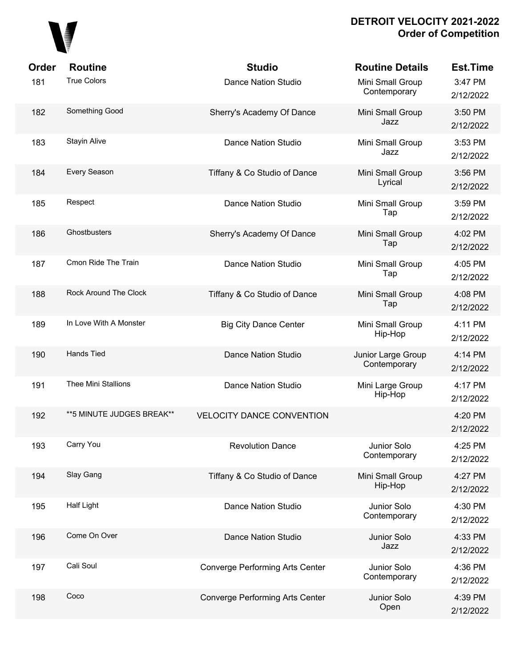

| Order | <b>Routine</b>             | <b>Studio</b>                          | <b>Routine Details</b>             | <b>Est.Time</b>      |
|-------|----------------------------|----------------------------------------|------------------------------------|----------------------|
| 181   | <b>True Colors</b>         | <b>Dance Nation Studio</b>             | Mini Small Group<br>Contemporary   | 3:47 PM<br>2/12/2022 |
| 182   | Something Good             | Sherry's Academy Of Dance              | Mini Small Group<br>Jazz           | 3:50 PM<br>2/12/2022 |
| 183   | <b>Stayin Alive</b>        | <b>Dance Nation Studio</b>             | Mini Small Group<br>Jazz           | 3:53 PM<br>2/12/2022 |
| 184   | Every Season               | Tiffany & Co Studio of Dance           | Mini Small Group<br>Lyrical        | 3:56 PM<br>2/12/2022 |
| 185   | Respect                    | <b>Dance Nation Studio</b>             | Mini Small Group<br>Tap            | 3:59 PM<br>2/12/2022 |
| 186   | Ghostbusters               | Sherry's Academy Of Dance              | Mini Small Group<br>Tap            | 4:02 PM<br>2/12/2022 |
| 187   | Cmon Ride The Train        | <b>Dance Nation Studio</b>             | Mini Small Group<br>Tap            | 4:05 PM<br>2/12/2022 |
| 188   | Rock Around The Clock      | Tiffany & Co Studio of Dance           | Mini Small Group<br>Tap            | 4:08 PM<br>2/12/2022 |
| 189   | In Love With A Monster     | <b>Big City Dance Center</b>           | Mini Small Group<br>Hip-Hop        | 4:11 PM<br>2/12/2022 |
| 190   | Hands Tied                 | Dance Nation Studio                    | Junior Large Group<br>Contemporary | 4:14 PM<br>2/12/2022 |
| 191   | Thee Mini Stallions        | <b>Dance Nation Studio</b>             | Mini Large Group<br>Hip-Hop        | 4:17 PM<br>2/12/2022 |
| 192   | ** 5 MINUTE JUDGES BREAK** | <b>VELOCITY DANCE CONVENTION</b>       |                                    | 4:20 PM<br>2/12/2022 |
| 193   | Carry You                  | <b>Revolution Dance</b>                | Junior Solo<br>Contemporary        | 4:25 PM<br>2/12/2022 |
| 194   | Slay Gang                  | Tiffany & Co Studio of Dance           | Mini Small Group<br>Hip-Hop        | 4:27 PM<br>2/12/2022 |
| 195   | <b>Half Light</b>          | <b>Dance Nation Studio</b>             | Junior Solo<br>Contemporary        | 4:30 PM<br>2/12/2022 |
| 196   | Come On Over               | Dance Nation Studio                    | Junior Solo<br>Jazz                | 4:33 PM<br>2/12/2022 |
| 197   | Cali Soul                  | <b>Converge Performing Arts Center</b> | Junior Solo<br>Contemporary        | 4:36 PM<br>2/12/2022 |
| 198   | Coco                       | <b>Converge Performing Arts Center</b> | Junior Solo<br>Open                | 4:39 PM<br>2/12/2022 |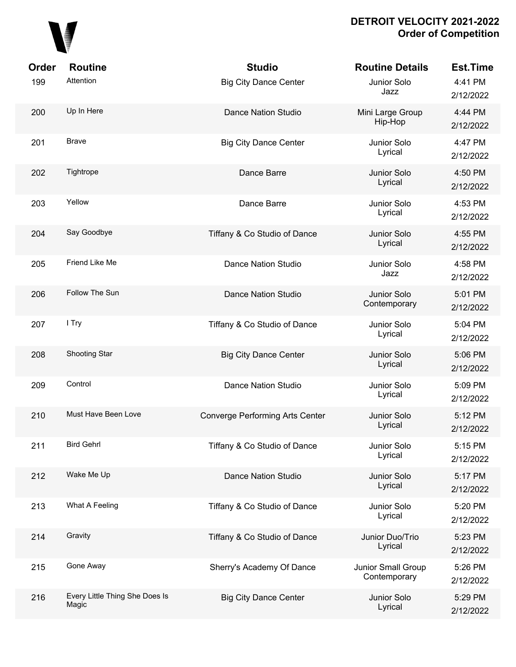

| Order | <b>Routine</b>                          | <b>Studio</b>                          | <b>Routine Details</b>             | <b>Est.Time</b>      |
|-------|-----------------------------------------|----------------------------------------|------------------------------------|----------------------|
| 199   | Attention                               | <b>Big City Dance Center</b>           | Junior Solo<br>Jazz                | 4:41 PM<br>2/12/2022 |
| 200   | Up In Here                              | <b>Dance Nation Studio</b>             | Mini Large Group<br>Hip-Hop        | 4:44 PM<br>2/12/2022 |
| 201   | <b>Brave</b>                            | <b>Big City Dance Center</b>           | Junior Solo<br>Lyrical             | 4:47 PM<br>2/12/2022 |
| 202   | Tightrope                               | Dance Barre                            | Junior Solo<br>Lyrical             | 4:50 PM<br>2/12/2022 |
| 203   | Yellow                                  | Dance Barre                            | Junior Solo<br>Lyrical             | 4:53 PM<br>2/12/2022 |
| 204   | Say Goodbye                             | Tiffany & Co Studio of Dance           | Junior Solo<br>Lyrical             | 4:55 PM<br>2/12/2022 |
| 205   | Friend Like Me                          | <b>Dance Nation Studio</b>             | Junior Solo<br>Jazz                | 4:58 PM<br>2/12/2022 |
| 206   | Follow The Sun                          | <b>Dance Nation Studio</b>             | Junior Solo<br>Contemporary        | 5:01 PM<br>2/12/2022 |
| 207   | I Try                                   | Tiffany & Co Studio of Dance           | Junior Solo<br>Lyrical             | 5:04 PM<br>2/12/2022 |
| 208   | <b>Shooting Star</b>                    | <b>Big City Dance Center</b>           | Junior Solo<br>Lyrical             | 5:06 PM<br>2/12/2022 |
| 209   | Control                                 | <b>Dance Nation Studio</b>             | Junior Solo<br>Lyrical             | 5:09 PM<br>2/12/2022 |
| 210   | Must Have Been Love                     | <b>Converge Performing Arts Center</b> | Junior Solo<br>Lyrical             | 5:12 PM<br>2/12/2022 |
| 211   | <b>Bird Gehrl</b>                       | Tiffany & Co Studio of Dance           | Junior Solo<br>Lyrical             | 5:15 PM<br>2/12/2022 |
| 212   | Wake Me Up                              | <b>Dance Nation Studio</b>             | Junior Solo<br>Lyrical             | 5:17 PM<br>2/12/2022 |
| 213   | What A Feeling                          | Tiffany & Co Studio of Dance           | Junior Solo<br>Lyrical             | 5:20 PM<br>2/12/2022 |
| 214   | Gravity                                 | Tiffany & Co Studio of Dance           | Junior Duo/Trio<br>Lyrical         | 5:23 PM<br>2/12/2022 |
| 215   | Gone Away                               | Sherry's Academy Of Dance              | Junior Small Group<br>Contemporary | 5:26 PM<br>2/12/2022 |
| 216   | Every Little Thing She Does Is<br>Magic | <b>Big City Dance Center</b>           | Junior Solo<br>Lyrical             | 5:29 PM<br>2/12/2022 |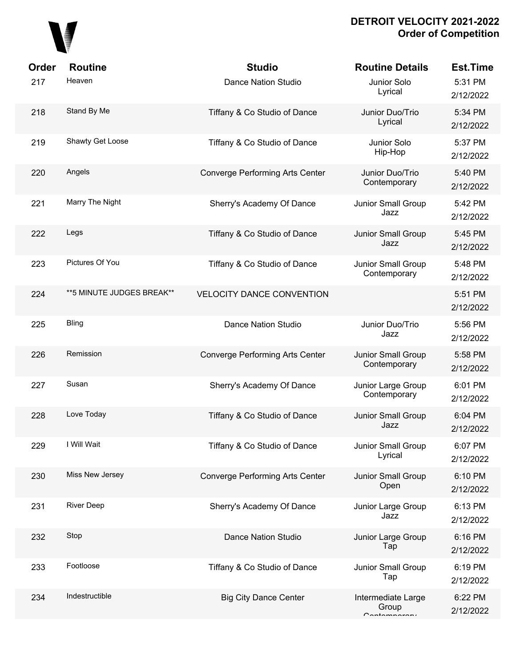

| Order | <b>Routine</b>             | <b>Studio</b>                          | <b>Routine Details</b>                         | <b>Est.Time</b>      |
|-------|----------------------------|----------------------------------------|------------------------------------------------|----------------------|
| 217   | Heaven                     | <b>Dance Nation Studio</b>             | Junior Solo<br>Lyrical                         | 5:31 PM<br>2/12/2022 |
| 218   | Stand By Me                | Tiffany & Co Studio of Dance           | Junior Duo/Trio<br>Lyrical                     | 5:34 PM<br>2/12/2022 |
| 219   | Shawty Get Loose           | Tiffany & Co Studio of Dance           | Junior Solo<br>Hip-Hop                         | 5:37 PM<br>2/12/2022 |
| 220   | Angels                     | Converge Performing Arts Center        | Junior Duo/Trio<br>Contemporary                | 5:40 PM<br>2/12/2022 |
| 221   | Marry The Night            | Sherry's Academy Of Dance              | Junior Small Group<br>Jazz                     | 5:42 PM<br>2/12/2022 |
| 222   | Legs                       | Tiffany & Co Studio of Dance           | Junior Small Group<br>Jazz                     | 5:45 PM<br>2/12/2022 |
| 223   | Pictures Of You            | Tiffany & Co Studio of Dance           | Junior Small Group<br>Contemporary             | 5:48 PM<br>2/12/2022 |
| 224   | ** 5 MINUTE JUDGES BREAK** | <b>VELOCITY DANCE CONVENTION</b>       |                                                | 5:51 PM<br>2/12/2022 |
| 225   | Bling                      | <b>Dance Nation Studio</b>             | Junior Duo/Trio<br>Jazz                        | 5:56 PM<br>2/12/2022 |
| 226   | Remission                  | <b>Converge Performing Arts Center</b> | Junior Small Group<br>Contemporary             | 5:58 PM<br>2/12/2022 |
| 227   | Susan                      | Sherry's Academy Of Dance              | Junior Large Group<br>Contemporary             | 6:01 PM<br>2/12/2022 |
| 228   | Love Today                 | Tiffany & Co Studio of Dance           | Junior Small Group<br>Jazz                     | 6:04 PM<br>2/12/2022 |
| 229   | I Will Wait                | Tiffany & Co Studio of Dance           | Junior Small Group<br>Lyrical                  | 6:07 PM<br>2/12/2022 |
| 230   | Miss New Jersey            | Converge Performing Arts Center        | Junior Small Group<br>Open                     | 6:10 PM<br>2/12/2022 |
| 231   | <b>River Deep</b>          | Sherry's Academy Of Dance              | Junior Large Group<br>Jazz                     | 6:13 PM<br>2/12/2022 |
| 232   | Stop                       | <b>Dance Nation Studio</b>             | Junior Large Group<br>Tap                      | 6:16 PM<br>2/12/2022 |
| 233   | Footloose                  | Tiffany & Co Studio of Dance           | Junior Small Group<br>Tap                      | 6:19 PM<br>2/12/2022 |
| 234   | Indestructible             | <b>Big City Dance Center</b>           | Intermediate Large<br>Group<br>$C$ ontomnoroni | 6:22 PM<br>2/12/2022 |
|       |                            |                                        |                                                |                      |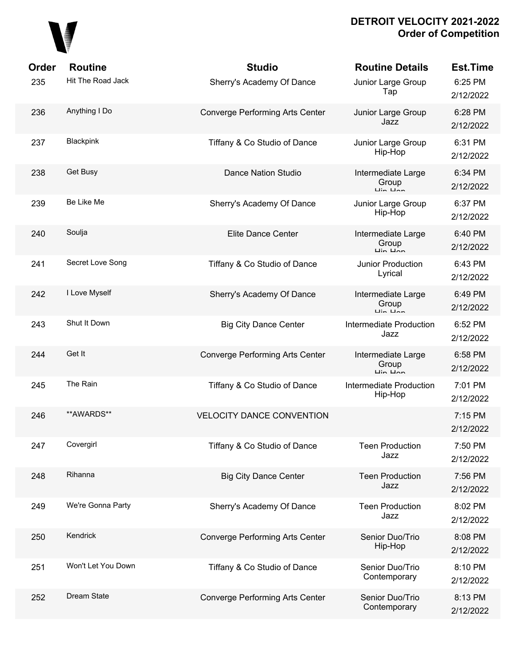

| Order | <b>Routine</b>     | <b>Studio</b>                          | <b>Routine Details</b>                                             | <b>Est.Time</b>      |
|-------|--------------------|----------------------------------------|--------------------------------------------------------------------|----------------------|
| 235   | Hit The Road Jack  | Sherry's Academy Of Dance              | Junior Large Group<br>Tap                                          | 6:25 PM<br>2/12/2022 |
| 236   | Anything I Do      | Converge Performing Arts Center        | Junior Large Group<br>Jazz                                         | 6:28 PM<br>2/12/2022 |
| 237   | Blackpink          | Tiffany & Co Studio of Dance           | Junior Large Group<br>Hip-Hop                                      | 6:31 PM<br>2/12/2022 |
| 238   | Get Busy           | <b>Dance Nation Studio</b>             | Intermediate Large<br>Group                                        | 6:34 PM<br>2/12/2022 |
| 239   | Be Like Me         | Sherry's Academy Of Dance              | Junior Large Group<br>Hip-Hop                                      | 6:37 PM<br>2/12/2022 |
| 240   | Soulja             | <b>Elite Dance Center</b>              | Intermediate Large<br>Group                                        | 6:40 PM<br>2/12/2022 |
| 241   | Secret Love Song   | Tiffany & Co Studio of Dance           | Junior Production<br>Lyrical                                       | 6:43 PM<br>2/12/2022 |
| 242   | I Love Myself      | Sherry's Academy Of Dance              | Intermediate Large<br>Group                                        | 6:49 PM<br>2/12/2022 |
| 243   | Shut It Down       | <b>Big City Dance Center</b>           | Intermediate Production<br>Jazz                                    | 6:52 PM<br>2/12/2022 |
| 244   | Get It             | <b>Converge Performing Arts Center</b> | Intermediate Large<br>Group<br>$\overline{u}$ in $\overline{u}$ an | 6:58 PM<br>2/12/2022 |
| 245   | The Rain           | Tiffany & Co Studio of Dance           | Intermediate Production<br>Hip-Hop                                 | 7:01 PM<br>2/12/2022 |
| 246   | **AWARDS**         | <b>VELOCITY DANCE CONVENTION</b>       |                                                                    | 7:15 PM<br>2/12/2022 |
| 247   | Covergirl          | Tiffany & Co Studio of Dance           | <b>Teen Production</b><br>Jazz                                     | 7:50 PM<br>2/12/2022 |
| 248   | Rihanna            | <b>Big City Dance Center</b>           | <b>Teen Production</b><br>Jazz                                     | 7:56 PM<br>2/12/2022 |
| 249   | We're Gonna Party  | Sherry's Academy Of Dance              | <b>Teen Production</b><br>Jazz                                     | 8:02 PM<br>2/12/2022 |
| 250   | Kendrick           | Converge Performing Arts Center        | Senior Duo/Trio<br>Hip-Hop                                         | 8:08 PM<br>2/12/2022 |
| 251   | Won't Let You Down | Tiffany & Co Studio of Dance           | Senior Duo/Trio<br>Contemporary                                    | 8:10 PM<br>2/12/2022 |
| 252   | Dream State        | <b>Converge Performing Arts Center</b> | Senior Duo/Trio<br>Contemporary                                    | 8:13 PM<br>2/12/2022 |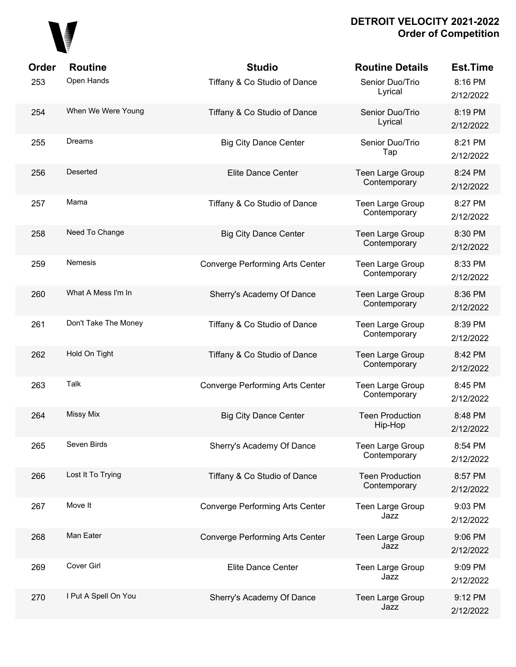

| Order | <b>Routine</b>       | <b>Studio</b>                          | <b>Routine Details</b>                 | <b>Est.Time</b>      |
|-------|----------------------|----------------------------------------|----------------------------------------|----------------------|
| 253   | Open Hands           | Tiffany & Co Studio of Dance           | Senior Duo/Trio<br>Lyrical             | 8:16 PM<br>2/12/2022 |
| 254   | When We Were Young   | Tiffany & Co Studio of Dance           | Senior Duo/Trio<br>Lyrical             | 8:19 PM<br>2/12/2022 |
| 255   | Dreams               | <b>Big City Dance Center</b>           | Senior Duo/Trio<br>Tap                 | 8:21 PM<br>2/12/2022 |
| 256   | Deserted             | <b>Elite Dance Center</b>              | Teen Large Group<br>Contemporary       | 8:24 PM<br>2/12/2022 |
| 257   | Mama                 | Tiffany & Co Studio of Dance           | Teen Large Group<br>Contemporary       | 8:27 PM<br>2/12/2022 |
| 258   | Need To Change       | <b>Big City Dance Center</b>           | Teen Large Group<br>Contemporary       | 8:30 PM<br>2/12/2022 |
| 259   | <b>Nemesis</b>       | <b>Converge Performing Arts Center</b> | Teen Large Group<br>Contemporary       | 8:33 PM<br>2/12/2022 |
| 260   | What A Mess I'm In   | Sherry's Academy Of Dance              | Teen Large Group<br>Contemporary       | 8:36 PM<br>2/12/2022 |
| 261   | Don't Take The Money | Tiffany & Co Studio of Dance           | Teen Large Group<br>Contemporary       | 8:39 PM<br>2/12/2022 |
| 262   | Hold On Tight        | Tiffany & Co Studio of Dance           | Teen Large Group<br>Contemporary       | 8:42 PM<br>2/12/2022 |
| 263   | Talk                 | <b>Converge Performing Arts Center</b> | Teen Large Group<br>Contemporary       | 8:45 PM<br>2/12/2022 |
| 264   | <b>Missy Mix</b>     | <b>Big City Dance Center</b>           | <b>Teen Production</b><br>Hip-Hop      | 8:48 PM<br>2/12/2022 |
| 265   | Seven Birds          | Sherry's Academy Of Dance              | Teen Large Group<br>Contemporary       | 8:54 PM<br>2/12/2022 |
| 266   | Lost It To Trying    | Tiffany & Co Studio of Dance           | <b>Teen Production</b><br>Contemporary | 8:57 PM<br>2/12/2022 |
| 267   | Move It              | <b>Converge Performing Arts Center</b> | Teen Large Group<br>Jazz               | 9:03 PM<br>2/12/2022 |
| 268   | Man Eater            | Converge Performing Arts Center        | Teen Large Group<br>Jazz               | 9:06 PM<br>2/12/2022 |
| 269   | Cover Girl           | Elite Dance Center                     | <b>Teen Large Group</b><br>Jazz        | 9:09 PM<br>2/12/2022 |
| 270   | I Put A Spell On You | Sherry's Academy Of Dance              | Teen Large Group<br>Jazz               | 9:12 PM<br>2/12/2022 |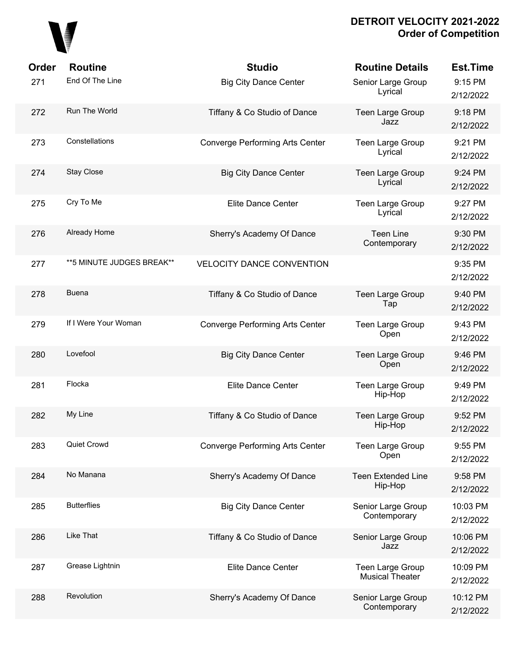

| Order | <b>Routine</b>             | <b>Studio</b>                    | <b>Routine Details</b>                     | <b>Est.Time</b>       |
|-------|----------------------------|----------------------------------|--------------------------------------------|-----------------------|
| 271   | End Of The Line            | <b>Big City Dance Center</b>     | Senior Large Group<br>Lyrical              | 9:15 PM<br>2/12/2022  |
| 272   | Run The World              | Tiffany & Co Studio of Dance     | <b>Teen Large Group</b><br>Jazz            | 9:18 PM<br>2/12/2022  |
| 273   | Constellations             | Converge Performing Arts Center  | <b>Teen Large Group</b><br>Lyrical         | 9:21 PM<br>2/12/2022  |
| 274   | Stay Close                 | <b>Big City Dance Center</b>     | Teen Large Group<br>Lyrical                | 9:24 PM<br>2/12/2022  |
| 275   | Cry To Me                  | Elite Dance Center               | Teen Large Group<br>Lyrical                | 9:27 PM<br>2/12/2022  |
| 276   | Already Home               | Sherry's Academy Of Dance        | <b>Teen Line</b><br>Contemporary           | 9:30 PM<br>2/12/2022  |
| 277   | ** 5 MINUTE JUDGES BREAK** | <b>VELOCITY DANCE CONVENTION</b> |                                            | 9:35 PM<br>2/12/2022  |
| 278   | <b>Buena</b>               | Tiffany & Co Studio of Dance     | Teen Large Group<br>Tap                    | 9:40 PM<br>2/12/2022  |
| 279   | If I Were Your Woman       | Converge Performing Arts Center  | Teen Large Group<br>Open                   | 9:43 PM<br>2/12/2022  |
| 280   | Lovefool                   | <b>Big City Dance Center</b>     | Teen Large Group<br>Open                   | 9:46 PM<br>2/12/2022  |
| 281   | Flocka                     | Elite Dance Center               | Teen Large Group<br>Hip-Hop                | 9:49 PM<br>2/12/2022  |
| 282   | My Line                    | Tiffany & Co Studio of Dance     | Teen Large Group<br>Hip-Hop                | 9:52 PM<br>2/12/2022  |
| 283   | Quiet Crowd                | Converge Performing Arts Center  | Teen Large Group<br>Open                   | 9:55 PM<br>2/12/2022  |
| 284   | No Manana                  | Sherry's Academy Of Dance        | <b>Teen Extended Line</b><br>Hip-Hop       | 9:58 PM<br>2/12/2022  |
| 285   | <b>Butterflies</b>         | <b>Big City Dance Center</b>     | Senior Large Group<br>Contemporary         | 10:03 PM<br>2/12/2022 |
| 286   | Like That                  | Tiffany & Co Studio of Dance     | Senior Large Group<br>Jazz                 | 10:06 PM<br>2/12/2022 |
| 287   | Grease Lightnin            | Elite Dance Center               | Teen Large Group<br><b>Musical Theater</b> | 10:09 PM<br>2/12/2022 |
| 288   | Revolution                 | Sherry's Academy Of Dance        | Senior Large Group<br>Contemporary         | 10:12 PM<br>2/12/2022 |